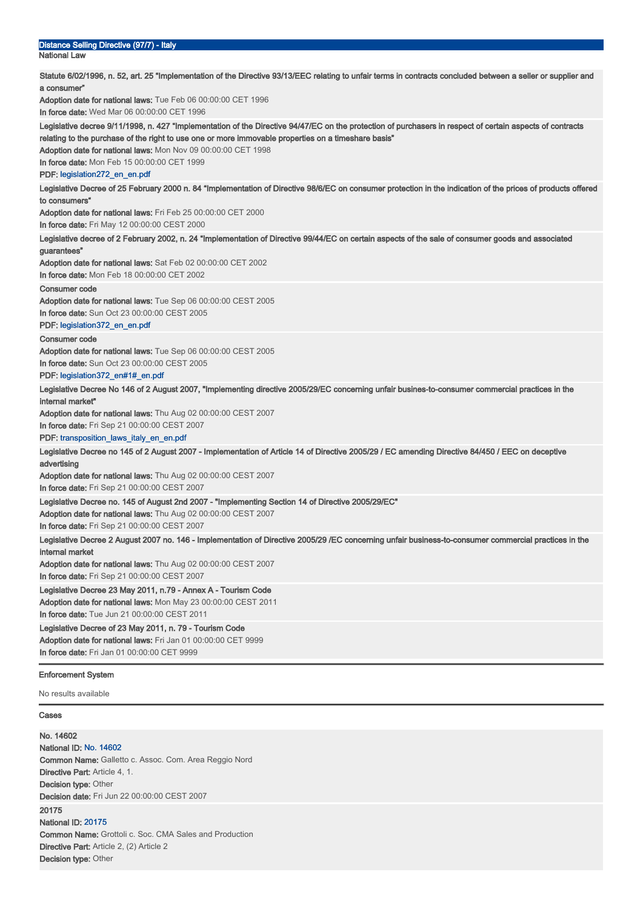| Distance Selling Directive (97/7) - Italy<br><b>National Law</b>                                                                                                                                                                                                                                                                                                                                                  |
|-------------------------------------------------------------------------------------------------------------------------------------------------------------------------------------------------------------------------------------------------------------------------------------------------------------------------------------------------------------------------------------------------------------------|
| Statute 6/02/1996, n. 52, art. 25 "Implementation of the Directive 93/13/EEC relating to unfair terms in contracts concluded between a seller or supplier and<br>a consumer"                                                                                                                                                                                                                                      |
| Adoption date for national laws: Tue Feb 06 00:00:00 CET 1996<br>In force date: Wed Mar 06 00:00:00 CET 1996                                                                                                                                                                                                                                                                                                      |
| Legislative decree 9/11/1998, n. 427 "Implementation of the Directive 94/47/EC on the protection of purchasers in respect of certain aspects of contracts<br>relating to the purchase of the right to use one or more immovable properties on a timeshare basis"<br>Adoption date for national laws: Mon Nov 09 00:00:00 CET 1998<br>In force date: Mon Feb 15 00:00:00 CET 1999<br>PDF: legislation272_en_en.pdf |
| Legislative Decree of 25 February 2000 n. 84 "Implementation of Directive 98/6/EC on consumer protection in the indication of the prices of products offered<br>to consumers"                                                                                                                                                                                                                                     |
| Adoption date for national laws: Fri Feb 25 00:00:00 CET 2000<br>In force date: Fri May 12 00:00:00 CEST 2000                                                                                                                                                                                                                                                                                                     |
| Legislative decree of 2 February 2002, n. 24 "Implementation of Directive 99/44/EC on certain aspects of the sale of consumer goods and associated<br>guarantees"<br>Adoption date for national laws: Sat Feb 02 00:00:00 CET 2002<br>In force date: Mon Feb 18 00:00:00 CET 2002                                                                                                                                 |
| <b>Consumer code</b>                                                                                                                                                                                                                                                                                                                                                                                              |
| Adoption date for national laws: Tue Sep 06 00:00:00 CEST 2005<br>In force date: Sun Oct 23 00:00:00 CEST 2005<br>PDF: legislation372_en_en.pdf                                                                                                                                                                                                                                                                   |
| <b>Consumer code</b><br>Adoption date for national laws: Tue Sep 06 00:00:00 CEST 2005                                                                                                                                                                                                                                                                                                                            |
| In force date: Sun Oct 23 00:00:00 CEST 2005<br>PDF: legislation372_en#1#_en.pdf                                                                                                                                                                                                                                                                                                                                  |
| Legislative Decree No 146 of 2 August 2007, "Implementing directive 2005/29/EC concerning unfair busines-to-consumer commercial practices in the<br>internal market"                                                                                                                                                                                                                                              |
| Adoption date for national laws: Thu Aug 02 00:00:00 CEST 2007<br>In force date: Fri Sep 21 00:00:00 CEST 2007                                                                                                                                                                                                                                                                                                    |
| PDF: transposition_laws_italy_en_en.pdf<br>Legislative Decree no 145 of 2 August 2007 - Implementation of Article 14 of Directive 2005/29 / EC amending Directive 84/450 / EEC on deceptive                                                                                                                                                                                                                       |
| advertising<br>Adoption date for national laws: Thu Aug 02 00:00:00 CEST 2007<br>In force date: Fri Sep 21 00:00:00 CEST 2007                                                                                                                                                                                                                                                                                     |
| Legislative Decree no. 145 of August 2nd 2007 - "Implementing Section 14 of Directive 2005/29/EC"<br>Adoption date for national laws: Thu Aug 02 00:00:00 CEST 2007<br>In force date: Fri Sep 21 00:00:00 CEST 2007                                                                                                                                                                                               |
| Legislative Decree 2 August 2007 no. 146 - Implementation of Directive 2005/29 /EC concerning unfair business-to-consumer commercial practices in the<br>internal market<br>Adoption date for national laws: Thu Aug 02 00:00:00 CEST 2007                                                                                                                                                                        |
| In force date: Fri Sep 21 00:00:00 CEST 2007<br>Legislative Decree 23 May 2011, n.79 - Annex A - Tourism Code                                                                                                                                                                                                                                                                                                     |
| Adoption date for national laws: Mon May 23 00:00:00 CEST 2011<br>In force date: Tue Jun 21 00:00:00 CEST 2011                                                                                                                                                                                                                                                                                                    |
| Legislative Decree of 23 May 2011, n. 79 - Tourism Code<br>Adoption date for national laws: Fri Jan 01 00:00:00 CET 9999<br>In force date: Fri Jan 01 00:00:00 CET 9999                                                                                                                                                                                                                                           |
| <b>Enforcement System</b>                                                                                                                                                                                                                                                                                                                                                                                         |

No results available

## Cases

No. 14602 National ID: No. 14602 Common Name: Galletto c. Assoc. Com. Area Reggio Nord Directive Part: Article 4, 1. **Decision type: Other** Decision date: Fri Jun 22 00:00:00 CEST 2007 20175 National ID: 20175 Common Name: Grottoli c. Soc. CMA Sales and Production Directive Part: Article 2, (2) Article 2 Decision type: Other